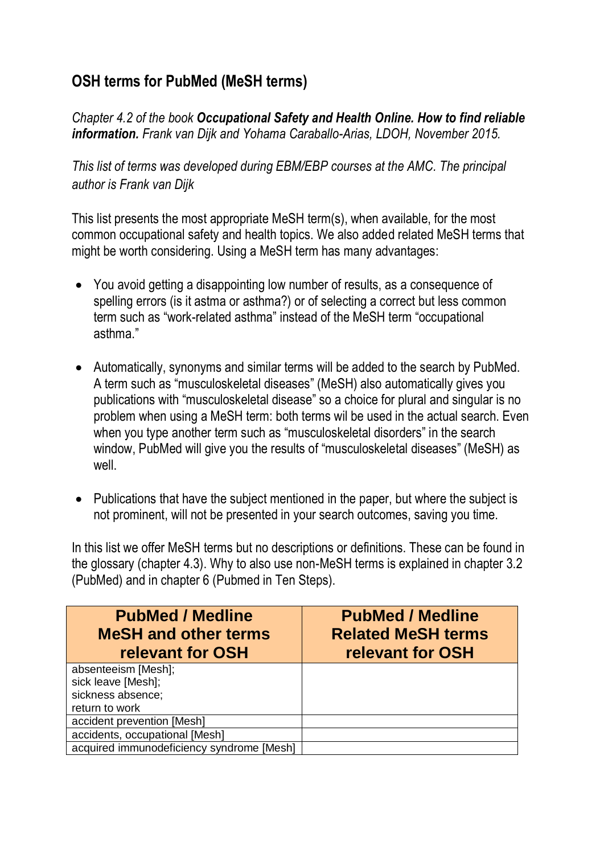## **OSH terms for PubMed (MeSH terms)**

*Chapter 4.2 of the book Occupational Safety and Health Online. How to find reliable information. Frank van Dijk and Yohama Caraballo-Arias, LDOH, November 2015.*

*This list of terms was developed during EBM/EBP courses at the AMC. The principal author is Frank van Dijk* 

This list presents the most appropriate MeSH term(s), when available, for the most common occupational safety and health topics. We also added related MeSH terms that might be worth considering. Using a MeSH term has many advantages:

- You avoid getting a disappointing low number of results, as a consequence of spelling errors (is it astma or asthma?) or of selecting a correct but less common term such as "work-related asthma" instead of the MeSH term "occupational asthma."
- Automatically, synonyms and similar terms will be added to the search by PubMed. A term such as "musculoskeletal diseases" (MeSH) also automatically gives you publications with "musculoskeletal disease" so a choice for plural and singular is no problem when using a MeSH term: both terms wil be used in the actual search. Even when you type another term such as "musculoskeletal disorders" in the search window, PubMed will give you the results of "musculoskeletal diseases" (MeSH) as well.
- Publications that have the subject mentioned in the paper, but where the subject is not prominent, will not be presented in your search outcomes, saving you time.

In this list we offer MeSH terms but no descriptions or definitions. These can be found in the glossary (chapter 4.3). Why to also use non-MeSH terms is explained in chapter 3.2 (PubMed) and in chapter 6 (Pubmed in Ten Steps).

| <b>PubMed / Medline</b><br><b>MeSH and other terms</b><br>relevant for OSH | <b>PubMed / Medline</b><br><b>Related MeSH terms</b><br>relevant for OSH |
|----------------------------------------------------------------------------|--------------------------------------------------------------------------|
| absenteeism [Mesh];                                                        |                                                                          |
| sick leave [Mesh];                                                         |                                                                          |
| sickness absence;                                                          |                                                                          |
| return to work                                                             |                                                                          |
| accident prevention [Mesh]                                                 |                                                                          |
| accidents, occupational [Mesh]                                             |                                                                          |
| acquired immunodeficiency syndrome [Mesh]                                  |                                                                          |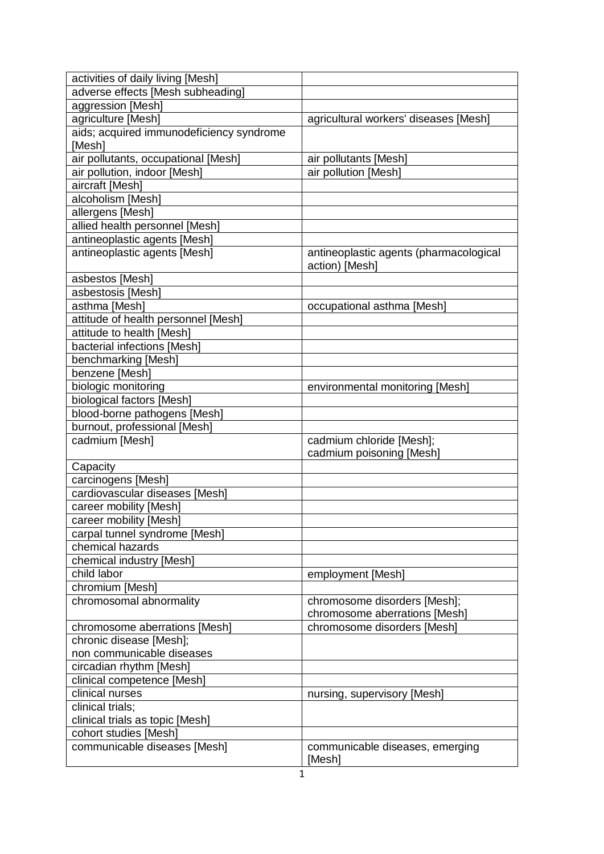| activities of daily living [Mesh]                     |                                        |
|-------------------------------------------------------|----------------------------------------|
| adverse effects [Mesh subheading]                     |                                        |
| aggression [Mesh]                                     |                                        |
| agriculture [Mesh]                                    | agricultural workers' diseases [Mesh]  |
| aids; acquired immunodeficiency syndrome              |                                        |
| [Mesh]                                                |                                        |
| air pollutants, occupational [Mesh]                   | air pollutants [Mesh]                  |
| air pollution, indoor [Mesh]                          | air pollution [Mesh]                   |
| aircraft [Mesh]                                       |                                        |
| alcoholism [Mesh]                                     |                                        |
| allergens [Mesh]                                      |                                        |
| allied health personnel [Mesh]                        |                                        |
| antineoplastic agents [Mesh]                          |                                        |
| antineoplastic agents [Mesh]                          | antineoplastic agents (pharmacological |
|                                                       | action) [Mesh]                         |
| asbestos [Mesh]                                       |                                        |
| asbestosis [Mesh]                                     |                                        |
| asthma [Mesh]                                         | occupational asthma [Mesh]             |
| attitude of health personnel [Mesh]                   |                                        |
| attitude to health [Mesh]                             |                                        |
| bacterial infections [Mesh]                           |                                        |
| benchmarking [Mesh]                                   |                                        |
| benzene [Mesh]                                        |                                        |
| biologic monitoring                                   | environmental monitoring [Mesh]        |
| biological factors [Mesh]                             |                                        |
| blood-borne pathogens [Mesh]                          |                                        |
| burnout, professional [Mesh]                          |                                        |
| cadmium [Mesh]                                        | cadmium chloride [Mesh];               |
|                                                       | cadmium poisoning [Mesh]               |
| Capacity                                              |                                        |
| carcinogens [Mesh]                                    |                                        |
| cardiovascular diseases [Mesh]                        |                                        |
| career mobility [Mesh]                                |                                        |
| career mobility [Mesh]                                |                                        |
| carpal tunnel syndrome [Mesh]                         |                                        |
| chemical hazards                                      |                                        |
| chemical industry [Mesh]                              |                                        |
| child labor                                           | employment [Mesh]                      |
| chromium [Mesh]                                       |                                        |
| chromosomal abnormality                               | chromosome disorders [Mesh];           |
|                                                       | chromosome aberrations [Mesh]          |
| chromosome aberrations [Mesh]                         | chromosome disorders [Mesh]            |
| chronic disease [Mesh];<br>non communicable diseases  |                                        |
|                                                       |                                        |
| circadian rhythm [Mesh]<br>clinical competence [Mesh] |                                        |
| clinical nurses                                       | nursing, supervisory [Mesh]            |
| clinical trials;                                      |                                        |
| clinical trials as topic [Mesh]                       |                                        |
| cohort studies [Mesh]                                 |                                        |
| communicable diseases [Mesh]                          | communicable diseases, emerging        |
|                                                       | [Mesh]                                 |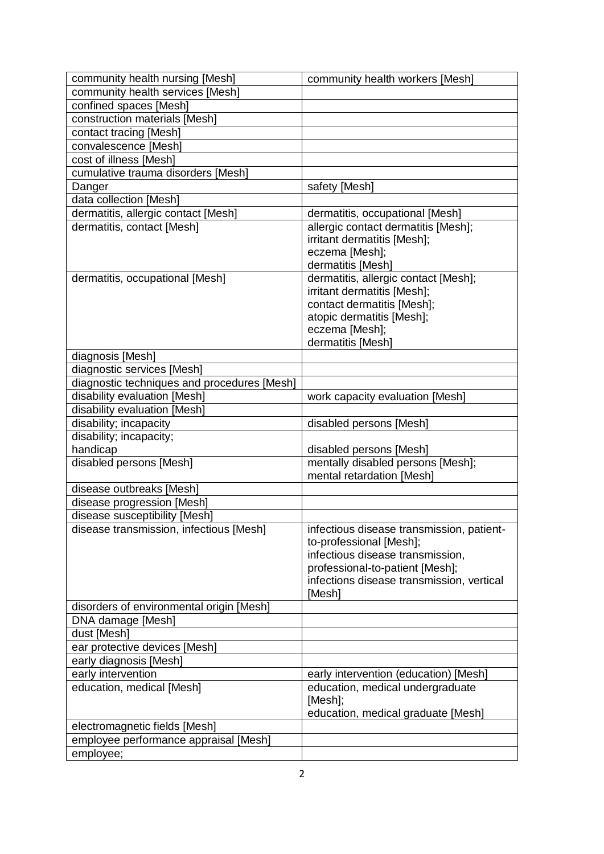| community health nursing [Mesh]                                           | community health workers [Mesh]           |
|---------------------------------------------------------------------------|-------------------------------------------|
| community health services [Mesh]                                          |                                           |
| confined spaces [Mesh]                                                    |                                           |
| construction materials [Mesh]                                             |                                           |
| contact tracing [Mesh]                                                    |                                           |
| convalescence [Mesh]                                                      |                                           |
| cost of illness [Mesh]                                                    |                                           |
| cumulative trauma disorders [Mesh]                                        |                                           |
| Danger                                                                    | safety [Mesh]                             |
| data collection [Mesh]                                                    |                                           |
| dermatitis, allergic contact [Mesh]                                       | dermatitis, occupational [Mesh]           |
| dermatitis, contact [Mesh]                                                | allergic contact dermatitis [Mesh];       |
|                                                                           | irritant dermatitis [Mesh];               |
|                                                                           | eczema [Mesh];                            |
|                                                                           | dermatitis [Mesh]                         |
| dermatitis, occupational [Mesh]                                           | dermatitis, allergic contact [Mesh];      |
|                                                                           | irritant dermatitis [Mesh];               |
|                                                                           | contact dermatitis [Mesh];                |
|                                                                           | atopic dermatitis [Mesh];                 |
|                                                                           | eczema [Mesh];                            |
|                                                                           | dermatitis [Mesh]                         |
|                                                                           |                                           |
| diagnosis [Mesh]                                                          |                                           |
| diagnostic services [Mesh]<br>diagnostic techniques and procedures [Mesh] |                                           |
|                                                                           |                                           |
| disability evaluation [Mesh]                                              | work capacity evaluation [Mesh]           |
| disability evaluation [Mesh]                                              |                                           |
| disability; incapacity                                                    | disabled persons [Mesh]                   |
| disability; incapacity;                                                   |                                           |
| handicap                                                                  | disabled persons [Mesh]                   |
| disabled persons [Mesh]                                                   | mentally disabled persons [Mesh];         |
|                                                                           | mental retardation [Mesh]                 |
| disease outbreaks [Mesh]                                                  |                                           |
| disease progression [Mesh]                                                |                                           |
| disease susceptibility [Mesh]                                             |                                           |
| disease transmission, infectious [Mesh]                                   | infectious disease transmission, patient- |
|                                                                           | to-professional [Mesh];                   |
|                                                                           | infectious disease transmission,          |
|                                                                           | professional-to-patient [Mesh];           |
|                                                                           | infections disease transmission, vertical |
|                                                                           | [Mesh]                                    |
| disorders of environmental origin [Mesh]                                  |                                           |
| DNA damage [Mesh]                                                         |                                           |
| dust [Mesh]                                                               |                                           |
| ear protective devices [Mesh]                                             |                                           |
| early diagnosis [Mesh]                                                    |                                           |
| early intervention                                                        | early intervention (education) [Mesh]     |
| education, medical [Mesh]                                                 | education, medical undergraduate          |
|                                                                           | [Mesh];                                   |
|                                                                           | education, medical graduate [Mesh]        |
| electromagnetic fields [Mesh]                                             |                                           |
| employee performance appraisal [Mesh]                                     |                                           |
| employee;                                                                 |                                           |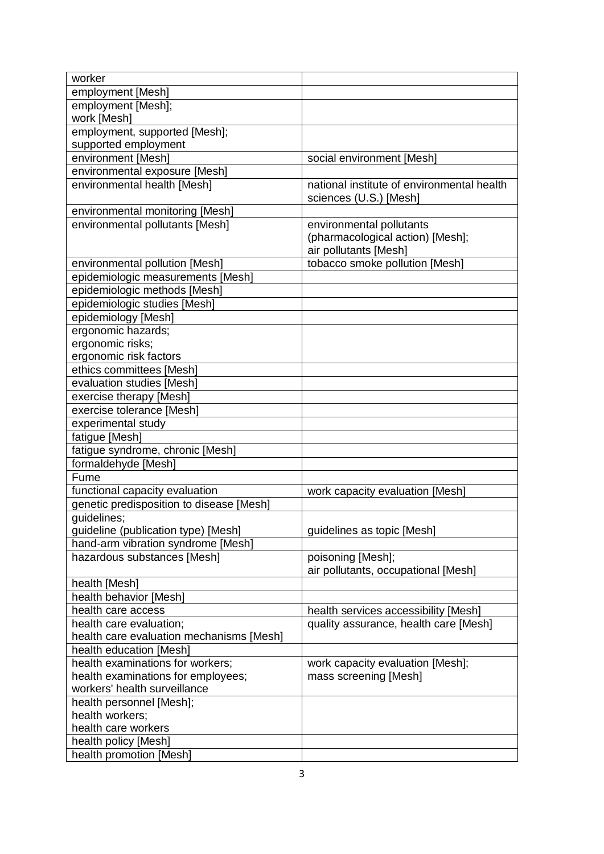| worker                                   |                                            |
|------------------------------------------|--------------------------------------------|
| employment [Mesh]                        |                                            |
| employment [Mesh];                       |                                            |
| work [Mesh]                              |                                            |
| employment, supported [Mesh];            |                                            |
| supported employment                     |                                            |
| environment [Mesh]                       | social environment [Mesh]                  |
| environmental exposure [Mesh]            |                                            |
| environmental health [Mesh]              | national institute of environmental health |
|                                          | sciences (U.S.) [Mesh]                     |
| environmental monitoring [Mesh]          |                                            |
| environmental pollutants [Mesh]          | environmental pollutants                   |
|                                          | (pharmacological action) [Mesh];           |
|                                          | air pollutants [Mesh]                      |
| environmental pollution [Mesh]           | tobacco smoke pollution [Mesh]             |
| epidemiologic measurements [Mesh]        |                                            |
| epidemiologic methods [Mesh]             |                                            |
| epidemiologic studies [Mesh]             |                                            |
| epidemiology [Mesh]                      |                                            |
| ergonomic hazards;                       |                                            |
| ergonomic risks;                         |                                            |
| ergonomic risk factors                   |                                            |
| ethics committees [Mesh]                 |                                            |
| evaluation studies [Mesh]                |                                            |
| exercise therapy [Mesh]                  |                                            |
| exercise tolerance [Mesh]                |                                            |
| experimental study                       |                                            |
| fatigue [Mesh]                           |                                            |
| fatigue syndrome, chronic [Mesh]         |                                            |
| formaldehyde [Mesh]                      |                                            |
| Fume                                     |                                            |
| functional capacity evaluation           | work capacity evaluation [Mesh]            |
| genetic predisposition to disease [Mesh] |                                            |
| guidelines;                              |                                            |
| guideline (publication type) [Mesh]      | guidelines as topic [Mesh]                 |
| hand-arm vibration syndrome [Mesh]       |                                            |
| hazardous substances [Mesh]              | poisoning [Mesh];                          |
|                                          | air pollutants, occupational [Mesh]        |
| health [Mesh]                            |                                            |
| health behavior [Mesh]                   |                                            |
| health care access                       | health services accessibility [Mesh]       |
| health care evaluation;                  | quality assurance, health care [Mesh]      |
| health care evaluation mechanisms [Mesh] |                                            |
| health education [Mesh]                  |                                            |
| health examinations for workers;         | work capacity evaluation [Mesh];           |
| health examinations for employees;       | mass screening [Mesh]                      |
| workers' health surveillance             |                                            |
| health personnel [Mesh];                 |                                            |
| health workers;                          |                                            |
| health care workers                      |                                            |
| health policy [Mesh]                     |                                            |
| health promotion [Mesh]                  |                                            |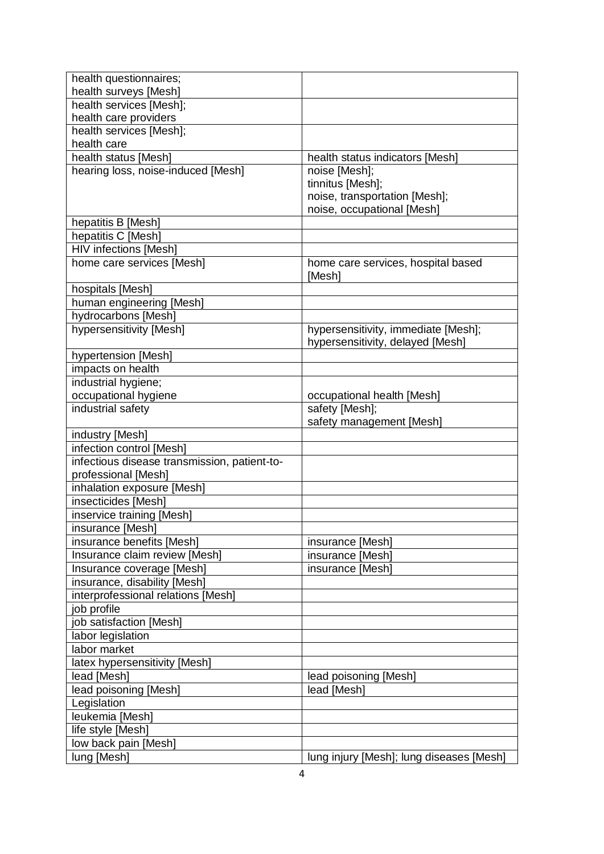| health questionnaires;                       |                                                                         |
|----------------------------------------------|-------------------------------------------------------------------------|
| health surveys [Mesh]                        |                                                                         |
| health services [Mesh];                      |                                                                         |
| health care providers                        |                                                                         |
| health services [Mesh];                      |                                                                         |
| health care                                  |                                                                         |
| health status [Mesh]                         | health status indicators [Mesh]                                         |
| hearing loss, noise-induced [Mesh]           | noise [Mesh];                                                           |
|                                              | tinnitus [Mesh];                                                        |
|                                              | noise, transportation [Mesh];                                           |
|                                              | noise, occupational [Mesh]                                              |
| hepatitis B [Mesh]                           |                                                                         |
| hepatitis C [Mesh]                           |                                                                         |
| <b>HIV</b> infections [Mesh]                 |                                                                         |
| home care services [Mesh]                    | home care services, hospital based<br>[Mesh]                            |
| hospitals [Mesh]                             |                                                                         |
| human engineering [Mesh]                     |                                                                         |
| hydrocarbons [Mesh]                          |                                                                         |
| hypersensitivity [Mesh]                      | hypersensitivity, immediate [Mesh];<br>hypersensitivity, delayed [Mesh] |
| hypertension [Mesh]                          |                                                                         |
| impacts on health                            |                                                                         |
| industrial hygiene;                          |                                                                         |
| occupational hygiene                         | occupational health [Mesh]                                              |
| industrial safety                            | safety [Mesh];                                                          |
|                                              | safety management [Mesh]                                                |
| industry [Mesh]                              |                                                                         |
| infection control [Mesh]                     |                                                                         |
| infectious disease transmission, patient-to- |                                                                         |
| professional [Mesh]                          |                                                                         |
| inhalation exposure [Mesh]                   |                                                                         |
| insecticides [Mesh]                          |                                                                         |
| inservice training [Mesh]                    |                                                                         |
| insurance [Mesh]                             |                                                                         |
| insurance benefits [Mesh]                    | insurance [Mesh]                                                        |
| Insurance claim review [Mesh]                | insurance [Mesh]                                                        |
| Insurance coverage [Mesh]                    | insurance [Mesh]                                                        |
| insurance, disability [Mesh]                 |                                                                         |
| interprofessional relations [Mesh]           |                                                                         |
| job profile                                  |                                                                         |
| job satisfaction [Mesh]                      |                                                                         |
| labor legislation                            |                                                                         |
| labor market                                 |                                                                         |
| latex hypersensitivity [Mesh]                |                                                                         |
| lead [Mesh]                                  | lead poisoning [Mesh]                                                   |
| lead poisoning [Mesh]                        | lead [Mesh]                                                             |
| Legislation                                  |                                                                         |
| leukemia [Mesh]                              |                                                                         |
| life style [Mesh]                            |                                                                         |
| low back pain [Mesh]                         |                                                                         |
| lung [Mesh]                                  | lung injury [Mesh]; lung diseases [Mesh]                                |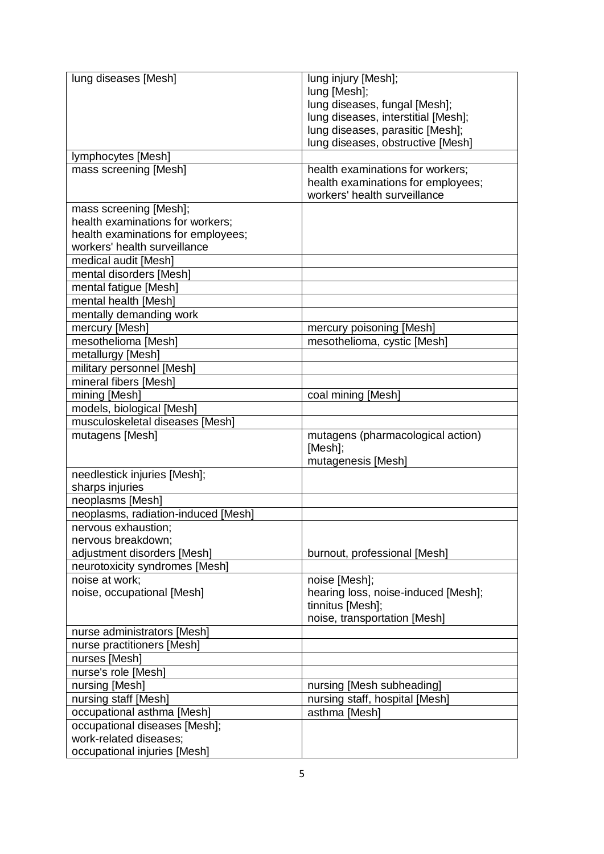| lung diseases [Mesh]                | lung injury [Mesh];                 |
|-------------------------------------|-------------------------------------|
|                                     | lung [Mesh];                        |
|                                     | lung diseases, fungal [Mesh];       |
|                                     | lung diseases, interstitial [Mesh]; |
|                                     | lung diseases, parasitic [Mesh];    |
|                                     | lung diseases, obstructive [Mesh]   |
| lymphocytes [Mesh]                  |                                     |
| mass screening [Mesh]               | health examinations for workers;    |
|                                     | health examinations for employees;  |
|                                     | workers' health surveillance        |
| mass screening [Mesh];              |                                     |
| health examinations for workers;    |                                     |
| health examinations for employees;  |                                     |
| workers' health surveillance        |                                     |
| medical audit [Mesh]                |                                     |
| mental disorders [Mesh]             |                                     |
| mental fatigue [Mesh]               |                                     |
| mental health [Mesh]                |                                     |
| mentally demanding work             |                                     |
| mercury [Mesh]                      | mercury poisoning [Mesh]            |
| mesothelioma [Mesh]                 | mesothelioma, cystic [Mesh]         |
| metallurgy [Mesh]                   |                                     |
| military personnel [Mesh]           |                                     |
| mineral fibers [Mesh]               |                                     |
| mining [Mesh]                       | coal mining [Mesh]                  |
| models, biological [Mesh]           |                                     |
| musculoskeletal diseases [Mesh]     |                                     |
| mutagens [Mesh]                     | mutagens (pharmacological action)   |
|                                     | [Mesh];                             |
|                                     | mutagenesis [Mesh]                  |
| needlestick injuries [Mesh];        |                                     |
| sharps injuries                     |                                     |
| neoplasms [Mesh]                    |                                     |
| neoplasms, radiation-induced [Mesh] |                                     |
| nervous exhaustion;                 |                                     |
| nervous breakdown;                  |                                     |
| adjustment disorders [Mesh]         | burnout, professional [Mesh]        |
| neurotoxicity syndromes [Mesh]      |                                     |
| noise at work;                      | noise [Mesh];                       |
| noise, occupational [Mesh]          | hearing loss, noise-induced [Mesh]; |
|                                     | tinnitus [Mesh];                    |
|                                     | noise, transportation [Mesh]        |
| nurse administrators [Mesh]         |                                     |
| nurse practitioners [Mesh]          |                                     |
| nurses [Mesh]                       |                                     |
| nurse's role [Mesh]                 |                                     |
| nursing [Mesh]                      | nursing [Mesh subheading]           |
| nursing staff [Mesh]                | nursing staff, hospital [Mesh]      |
| occupational asthma [Mesh]          | asthma [Mesh]                       |
| occupational diseases [Mesh];       |                                     |
| work-related diseases;              |                                     |
| occupational injuries [Mesh]        |                                     |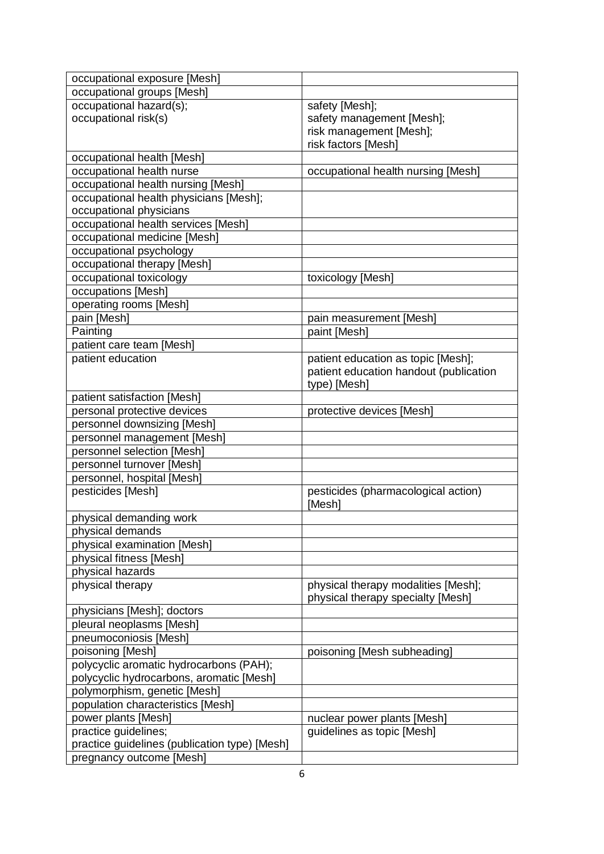| occupational exposure [Mesh]                  |                                               |
|-----------------------------------------------|-----------------------------------------------|
| occupational groups [Mesh]                    |                                               |
| occupational hazard(s);                       | safety [Mesh];                                |
| occupational risk(s)                          | safety management [Mesh];                     |
|                                               | risk management [Mesh];                       |
|                                               | risk factors [Mesh]                           |
| occupational health [Mesh]                    |                                               |
| occupational health nurse                     | occupational health nursing [Mesh]            |
| occupational health nursing [Mesh]            |                                               |
| occupational health physicians [Mesh];        |                                               |
| occupational physicians                       |                                               |
| occupational health services [Mesh]           |                                               |
| occupational medicine [Mesh]                  |                                               |
| occupational psychology                       |                                               |
| occupational therapy [Mesh]                   |                                               |
| occupational toxicology                       | toxicology [Mesh]                             |
| occupations [Mesh]                            |                                               |
| operating rooms [Mesh]                        |                                               |
| pain [Mesh]                                   | pain measurement [Mesh]                       |
| Painting                                      | paint [Mesh]                                  |
| patient care team [Mesh]                      |                                               |
| patient education                             | patient education as topic [Mesh];            |
|                                               | patient education handout (publication        |
|                                               | type) [Mesh]                                  |
| patient satisfaction [Mesh]                   |                                               |
| personal protective devices                   | protective devices [Mesh]                     |
| personnel downsizing [Mesh]                   |                                               |
| personnel management [Mesh]                   |                                               |
| personnel selection [Mesh]                    |                                               |
| personnel turnover [Mesh]                     |                                               |
| personnel, hospital [Mesh]                    |                                               |
| pesticides [Mesh]                             | pesticides (pharmacological action)<br>[Mesh] |
| physical demanding work                       |                                               |
| physical demands                              |                                               |
| physical examination [Mesh]                   |                                               |
| physical fitness [Mesh]                       |                                               |
| physical hazards                              |                                               |
| physical therapy                              | physical therapy modalities [Mesh];           |
|                                               | physical therapy specialty [Mesh]             |
| physicians [Mesh]; doctors                    |                                               |
| pleural neoplasms [Mesh]                      |                                               |
| pneumoconiosis [Mesh]                         |                                               |
| poisoning [Mesh]                              | poisoning [Mesh subheading]                   |
| polycyclic aromatic hydrocarbons (PAH);       |                                               |
| polycyclic hydrocarbons, aromatic [Mesh]      |                                               |
| polymorphism, genetic [Mesh]                  |                                               |
| population characteristics [Mesh]             |                                               |
| power plants [Mesh]                           | nuclear power plants [Mesh]                   |
| practice guidelines;                          | guidelines as topic [Mesh]                    |
| practice guidelines (publication type) [Mesh] |                                               |
| pregnancy outcome [Mesh]                      |                                               |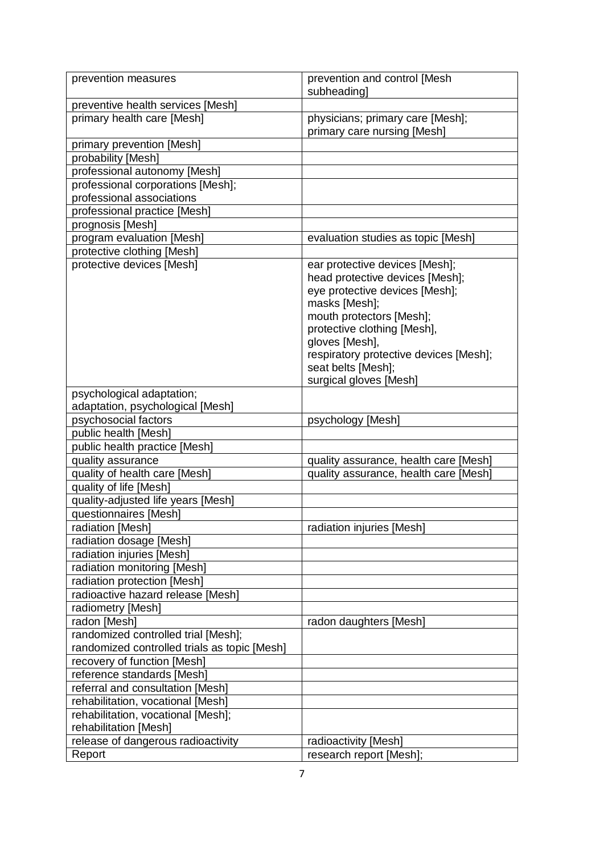| prevention measures                                           | prevention and control [Mesh                                    |
|---------------------------------------------------------------|-----------------------------------------------------------------|
|                                                               | subheading]                                                     |
| preventive health services [Mesh]                             |                                                                 |
| primary health care [Mesh]                                    | physicians; primary care [Mesh];<br>primary care nursing [Mesh] |
| primary prevention [Mesh]                                     |                                                                 |
| probability [Mesh]                                            |                                                                 |
| professional autonomy [Mesh]                                  |                                                                 |
| professional corporations [Mesh];                             |                                                                 |
| professional associations                                     |                                                                 |
| professional practice [Mesh]                                  |                                                                 |
| prognosis [Mesh]                                              |                                                                 |
| program evaluation [Mesh]                                     | evaluation studies as topic [Mesh]                              |
| protective clothing [Mesh]                                    |                                                                 |
| protective devices [Mesh]                                     | ear protective devices [Mesh];                                  |
|                                                               | head protective devices [Mesh];                                 |
|                                                               | eye protective devices [Mesh];                                  |
|                                                               | masks [Mesh];                                                   |
|                                                               | mouth protectors [Mesh];                                        |
|                                                               | protective clothing [Mesh],                                     |
|                                                               | gloves [Mesh],                                                  |
|                                                               | respiratory protective devices [Mesh];                          |
|                                                               | seat belts [Mesh];                                              |
|                                                               | surgical gloves [Mesh]                                          |
| psychological adaptation;<br>adaptation, psychological [Mesh] |                                                                 |
| psychosocial factors                                          | psychology [Mesh]                                               |
| public health [Mesh]                                          |                                                                 |
| public health practice [Mesh]                                 |                                                                 |
| quality assurance                                             | quality assurance, health care [Mesh]                           |
| quality of health care [Mesh]                                 | quality assurance, health care [Mesh]                           |
| quality of life [Mesh]                                        |                                                                 |
| quality-adjusted life years [Mesh]                            |                                                                 |
| questionnaires [Mesh]                                         |                                                                 |
| radiation [Mesh]                                              | radiation injuries [Mesh]                                       |
| radiation dosage [Mesh]                                       |                                                                 |
| radiation injuries [Mesh]                                     |                                                                 |
| radiation monitoring [Mesh]                                   |                                                                 |
| radiation protection [Mesh]                                   |                                                                 |
| radioactive hazard release [Mesh]                             |                                                                 |
| radiometry [Mesh]                                             |                                                                 |
| radon [Mesh]                                                  | radon daughters [Mesh]                                          |
| randomized controlled trial [Mesh];                           |                                                                 |
| randomized controlled trials as topic [Mesh]                  |                                                                 |
| recovery of function [Mesh]                                   |                                                                 |
| reference standards [Mesh]                                    |                                                                 |
| referral and consultation [Mesh]                              |                                                                 |
| rehabilitation, vocational [Mesh]                             |                                                                 |
| rehabilitation, vocational [Mesh];<br>rehabilitation [Mesh]   |                                                                 |
| release of dangerous radioactivity                            | radioactivity [Mesh]                                            |
| Report                                                        | research report [Mesh];                                         |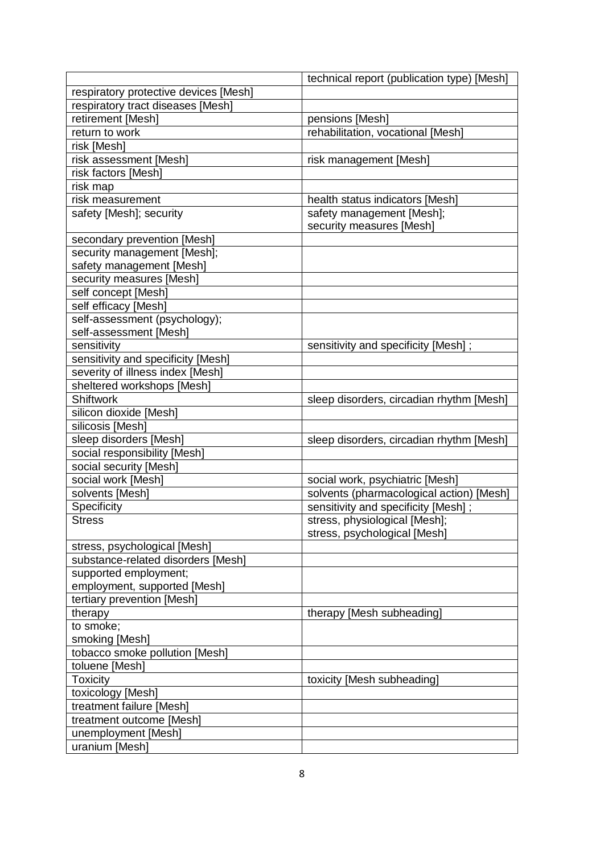|                                       | technical report (publication type) [Mesh] |
|---------------------------------------|--------------------------------------------|
| respiratory protective devices [Mesh] |                                            |
| respiratory tract diseases [Mesh]     |                                            |
| retirement [Mesh]                     | pensions [Mesh]                            |
| return to work                        | rehabilitation, vocational [Mesh]          |
| risk [Mesh]                           |                                            |
| risk assessment [Mesh]                | risk management [Mesh]                     |
| risk factors [Mesh]                   |                                            |
| risk map                              |                                            |
| risk measurement                      | health status indicators [Mesh]            |
| safety [Mesh]; security               | safety management [Mesh];                  |
|                                       | security measures [Mesh]                   |
| secondary prevention [Mesh]           |                                            |
| security management [Mesh];           |                                            |
| safety management [Mesh]              |                                            |
| security measures [Mesh]              |                                            |
| self concept [Mesh]                   |                                            |
| self efficacy [Mesh]                  |                                            |
| self-assessment (psychology);         |                                            |
| self-assessment [Mesh]                |                                            |
| sensitivity                           | sensitivity and specificity [Mesh];        |
| sensitivity and specificity [Mesh]    |                                            |
| severity of illness index [Mesh]      |                                            |
| sheltered workshops [Mesh]            |                                            |
| <b>Shiftwork</b>                      | sleep disorders, circadian rhythm [Mesh]   |
| silicon dioxide [Mesh]                |                                            |
| silicosis [Mesh]                      |                                            |
| sleep disorders [Mesh]                | sleep disorders, circadian rhythm [Mesh]   |
| social responsibility [Mesh]          |                                            |
| social security [Mesh]                |                                            |
| social work [Mesh]                    | social work, psychiatric [Mesh]            |
| solvents [Mesh]                       | solvents (pharmacological action) [Mesh]   |
| Specificity                           | sensitivity and specificity [Mesh];        |
| <b>Stress</b>                         | stress, physiological [Mesh];              |
|                                       | stress, psychological [Mesh]               |
| stress, psychological [Mesh]          |                                            |
| substance-related disorders [Mesh]    |                                            |
| supported employment;                 |                                            |
| employment, supported [Mesh]          |                                            |
| tertiary prevention [Mesh]            |                                            |
| therapy                               | therapy [Mesh subheading]                  |
| to smoke;                             |                                            |
| smoking [Mesh]                        |                                            |
| tobacco smoke pollution [Mesh]        |                                            |
| toluene [Mesh]                        |                                            |
| <b>Toxicity</b>                       | toxicity [Mesh subheading]                 |
| toxicology [Mesh]                     |                                            |
| treatment failure [Mesh]              |                                            |
| treatment outcome [Mesh]              |                                            |
| unemployment [Mesh]                   |                                            |
| uranium [Mesh]                        |                                            |
|                                       |                                            |